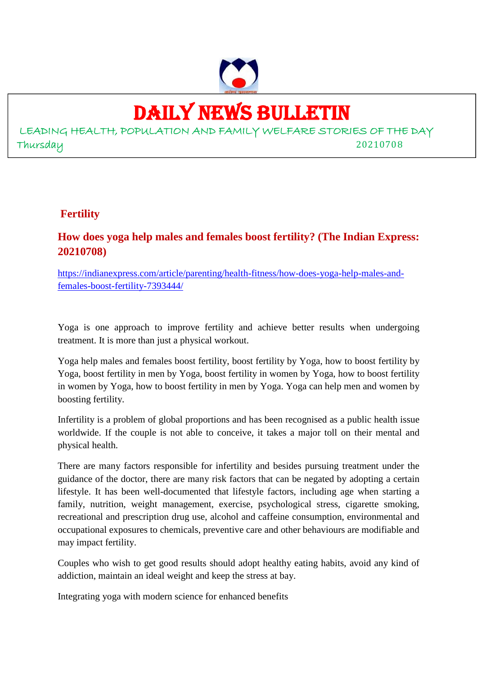

### DAILY NEWS BULLETIN

LEADING HEALTH, POPULATION AND FAMILY WELFARE STORIES OF THE DAY Thursday 20210708

#### **Fertility**

#### **How does yoga help males and females boost fertility? (The Indian Express: 20210708)**

https://indianexpress.com/article/parenting/health-fitness/how-does-yoga-help-males-andfemales-boost-fertility-7393444/

Yoga is one approach to improve fertility and achieve better results when undergoing treatment. It is more than just a physical workout.

Yoga help males and females boost fertility, boost fertility by Yoga, how to boost fertility by Yoga, boost fertility in men by Yoga, boost fertility in women by Yoga, how to boost fertility in women by Yoga, how to boost fertility in men by Yoga. Yoga can help men and women by boosting fertility.

Infertility is a problem of global proportions and has been recognised as a public health issue worldwide. If the couple is not able to conceive, it takes a major toll on their mental and physical health.

There are many factors responsible for infertility and besides pursuing treatment under the guidance of the doctor, there are many risk factors that can be negated by adopting a certain lifestyle. It has been well-documented that lifestyle factors, including age when starting a family, nutrition, weight management, exercise, psychological stress, cigarette smoking, recreational and prescription drug use, alcohol and caffeine consumption, environmental and occupational exposures to chemicals, preventive care and other behaviours are modifiable and may impact fertility.

Couples who wish to get good results should adopt healthy eating habits, avoid any kind of addiction, maintain an ideal weight and keep the stress at bay.

Integrating yoga with modern science for enhanced benefits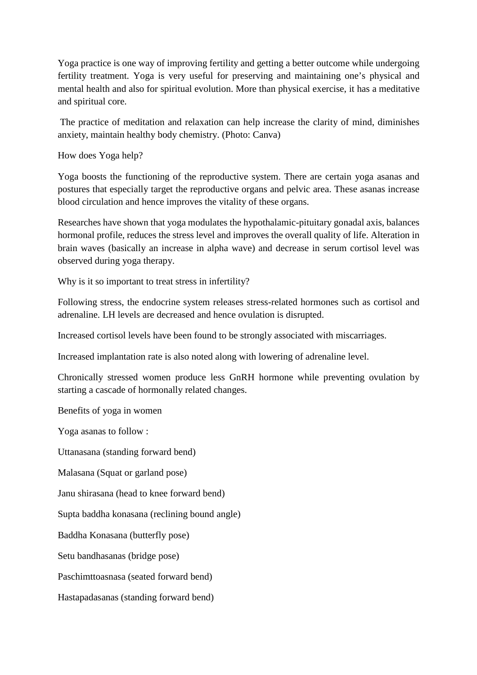Yoga practice is one way of improving fertility and getting a better outcome while undergoing fertility treatment. Yoga is very useful for preserving and maintaining one's physical and mental health and also for spiritual evolution. More than physical exercise, it has a meditative and spiritual core.

The practice of meditation and relaxation can help increase the clarity of mind, diminishes anxiety, maintain healthy body chemistry. (Photo: Canva)

How does Yoga help?

Yoga boosts the functioning of the reproductive system. There are certain yoga asanas and postures that especially target the reproductive organs and pelvic area. These asanas increase blood circulation and hence improves the vitality of these organs.

Researches have shown that yoga modulates the hypothalamic-pituitary gonadal axis, balances hormonal profile, reduces the stress level and improves the overall quality of life. Alteration in brain waves (basically an increase in alpha wave) and decrease in serum cortisol level was observed during yoga therapy.

Why is it so important to treat stress in infertility?

Following stress, the endocrine system releases stress-related hormones such as cortisol and adrenaline. LH levels are decreased and hence ovulation is disrupted.

Increased cortisol levels have been found to be strongly associated with miscarriages.

Increased implantation rate is also noted along with lowering of adrenaline level.

Chronically stressed women produce less GnRH hormone while preventing ovulation by starting a cascade of hormonally related changes.

Benefits of yoga in women

Yoga asanas to follow :

Uttanasana (standing forward bend)

Malasana (Squat or garland pose)

Janu shirasana (head to knee forward bend)

Supta baddha konasana (reclining bound angle)

Baddha Konasana (butterfly pose)

Setu bandhasanas (bridge pose)

Paschimttoasnasa (seated forward bend)

Hastapadasanas (standing forward bend)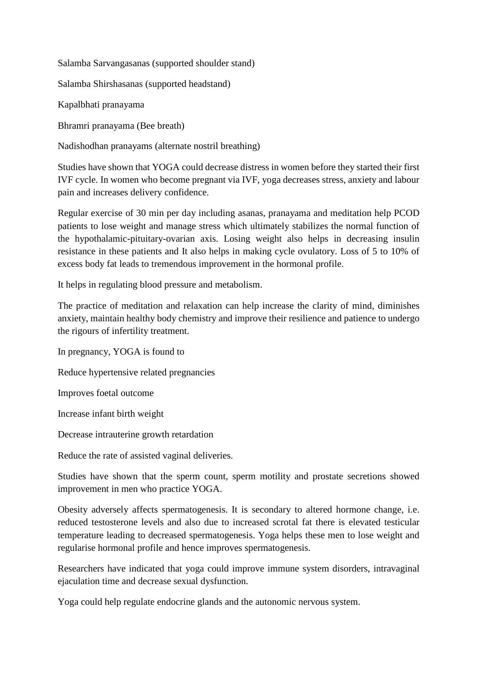Salamba Sarvangasanas (supported shoulder stand)

Salamba Shirshasanas (supported headstand)

Kapalbhati pranayama

Bhramri pranayama (Bee breath)

Nadishodhan pranayams (alternate nostril breathing)

Studies have shown that YOGA could decrease distress in women before they started their first IVF cycle. In women who become pregnant via IVF, yoga decreases stress, anxiety and labour pain and increases delivery confidence.

Regular exercise of 30 min per day including asanas, pranayama and meditation help PCOD patients to lose weight and manage stress which ultimately stabilizes the normal function of the hypothalamic-pituitary-ovarian axis. Losing weight also helps in decreasing insulin resistance in these patients and It also helps in making cycle ovulatory. Loss of 5 to 10% of excess body fat leads to tremendous improvement in the hormonal profile.

It helps in regulating blood pressure and metabolism.

The practice of meditation and relaxation can help increase the clarity of mind, diminishes anxiety, maintain healthy body chemistry and improve their resilience and patience to undergo the rigours of infertility treatment.

In pregnancy, YOGA is found to Reduce hypertensive related pregnancies

Improves foetal outcome

Increase infant birth weight

Decrease intrauterine growth retardation

Reduce the rate of assisted vaginal deliveries.

Studies have shown that the sperm count, sperm motility and prostate secretions showed improvement in men who practice YOGA.

Obesity adversely affects spermatogenesis. It is secondary to altered hormone change, i.e. reduced testosterone levels and also due to increased scrotal fat there is elevated testicular temperature leading to decreased spermatogenesis. Yoga helps these men to lose weight and regularise hormonal profile and hence improves spermatogenesis.

Researchers have indicated that yoga could improve immune system disorders, intravaginal ejaculation time and decrease sexual dysfunction.

Yoga could help regulate endocrine glands and the autonomic nervous system.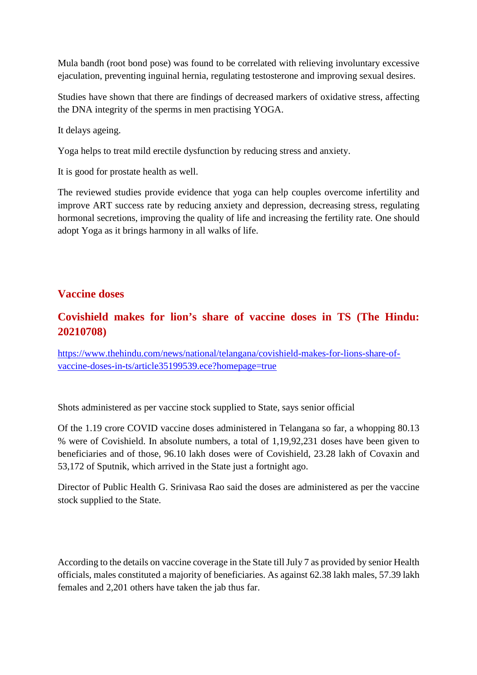Mula bandh (root bond pose) was found to be correlated with relieving involuntary excessive ejaculation, preventing inguinal hernia, regulating testosterone and improving sexual desires.

Studies have shown that there are findings of decreased markers of oxidative stress, affecting the DNA integrity of the sperms in men practising YOGA.

It delays ageing.

Yoga helps to treat mild erectile dysfunction by reducing stress and anxiety.

It is good for prostate health as well.

The reviewed studies provide evidence that yoga can help couples overcome infertility and improve ART success rate by reducing anxiety and depression, decreasing stress, regulating hormonal secretions, improving the quality of life and increasing the fertility rate. One should adopt Yoga as it brings harmony in all walks of life.

#### **Vaccine doses**

#### **Covishield makes for lion's share of vaccine doses in TS (The Hindu: 20210708)**

https://www.thehindu.com/news/national/telangana/covishield-makes-for-lions-share-ofvaccine-doses-in-ts/article35199539.ece?homepage=true

Shots administered as per vaccine stock supplied to State, says senior official

Of the 1.19 crore COVID vaccine doses administered in Telangana so far, a whopping 80.13 % were of Covishield. In absolute numbers, a total of 1,19,92,231 doses have been given to beneficiaries and of those, 96.10 lakh doses were of Covishield, 23.28 lakh of Covaxin and 53,172 of Sputnik, which arrived in the State just a fortnight ago.

Director of Public Health G. Srinivasa Rao said the doses are administered as per the vaccine stock supplied to the State.

According to the details on vaccine coverage in the State till July 7 as provided by senior Health officials, males constituted a majority of beneficiaries. As against 62.38 lakh males, 57.39 lakh females and 2,201 others have taken the jab thus far.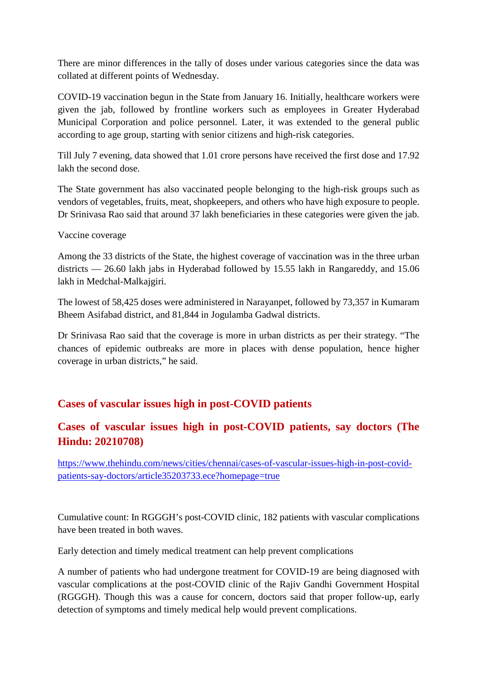There are minor differences in the tally of doses under various categories since the data was collated at different points of Wednesday.

COVID-19 vaccination begun in the State from January 16. Initially, healthcare workers were given the jab, followed by frontline workers such as employees in Greater Hyderabad Municipal Corporation and police personnel. Later, it was extended to the general public according to age group, starting with senior citizens and high-risk categories.

Till July 7 evening, data showed that 1.01 crore persons have received the first dose and 17.92 lakh the second dose.

The State government has also vaccinated people belonging to the high-risk groups such as vendors of vegetables, fruits, meat, shopkeepers, and others who have high exposure to people. Dr Srinivasa Rao said that around 37 lakh beneficiaries in these categories were given the jab.

#### Vaccine coverage

Among the 33 districts of the State, the highest coverage of vaccination was in the three urban districts — 26.60 lakh jabs in Hyderabad followed by 15.55 lakh in Rangareddy, and 15.06 lakh in Medchal-Malkajgiri.

The lowest of 58,425 doses were administered in Narayanpet, followed by 73,357 in Kumaram Bheem Asifabad district, and 81,844 in Jogulamba Gadwal districts.

Dr Srinivasa Rao said that the coverage is more in urban districts as per their strategy. "The chances of epidemic outbreaks are more in places with dense population, hence higher coverage in urban districts," he said.

#### **Cases of vascular issues high in post-COVID patients**

#### **Cases of vascular issues high in post-COVID patients, say doctors (The Hindu: 20210708)**

https://www.thehindu.com/news/cities/chennai/cases-of-vascular-issues-high-in-post-covidpatients-say-doctors/article35203733.ece?homepage=true

Cumulative count: In RGGGH's post-COVID clinic, 182 patients with vascular complications have been treated in both waves.

Early detection and timely medical treatment can help prevent complications

A number of patients who had undergone treatment for COVID-19 are being diagnosed with vascular complications at the post-COVID clinic of the Rajiv Gandhi Government Hospital (RGGGH). Though this was a cause for concern, doctors said that proper follow-up, early detection of symptoms and timely medical help would prevent complications.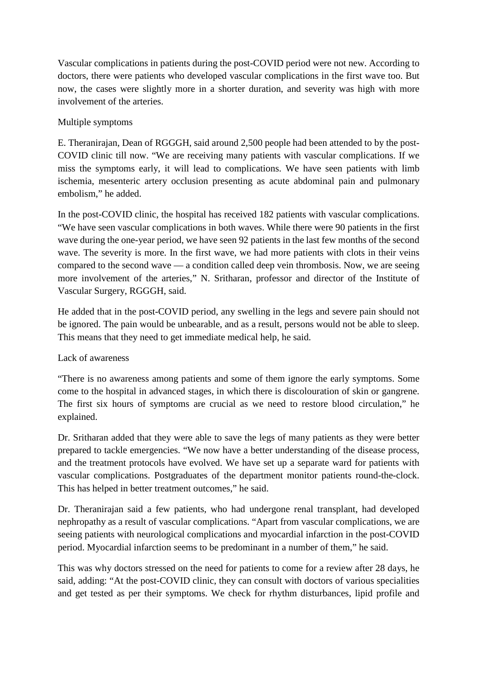Vascular complications in patients during the post-COVID period were not new. According to doctors, there were patients who developed vascular complications in the first wave too. But now, the cases were slightly more in a shorter duration, and severity was high with more involvement of the arteries.

#### Multiple symptoms

E. Theranirajan, Dean of RGGGH, said around 2,500 people had been attended to by the post-COVID clinic till now. "We are receiving many patients with vascular complications. If we miss the symptoms early, it will lead to complications. We have seen patients with limb ischemia, mesenteric artery occlusion presenting as acute abdominal pain and pulmonary embolism," he added.

In the post-COVID clinic, the hospital has received 182 patients with vascular complications. "We have seen vascular complications in both waves. While there were 90 patients in the first wave during the one-year period, we have seen 92 patients in the last few months of the second wave. The severity is more. In the first wave, we had more patients with clots in their veins compared to the second wave — a condition called deep vein thrombosis. Now, we are seeing more involvement of the arteries," N. Sritharan, professor and director of the Institute of Vascular Surgery, RGGGH, said.

He added that in the post-COVID period, any swelling in the legs and severe pain should not be ignored. The pain would be unbearable, and as a result, persons would not be able to sleep. This means that they need to get immediate medical help, he said.

#### Lack of awareness

"There is no awareness among patients and some of them ignore the early symptoms. Some come to the hospital in advanced stages, in which there is discolouration of skin or gangrene. The first six hours of symptoms are crucial as we need to restore blood circulation," he explained.

Dr. Sritharan added that they were able to save the legs of many patients as they were better prepared to tackle emergencies. "We now have a better understanding of the disease process, and the treatment protocols have evolved. We have set up a separate ward for patients with vascular complications. Postgraduates of the department monitor patients round-the-clock. This has helped in better treatment outcomes," he said.

Dr. Theranirajan said a few patients, who had undergone renal transplant, had developed nephropathy as a result of vascular complications. "Apart from vascular complications, we are seeing patients with neurological complications and myocardial infarction in the post-COVID period. Myocardial infarction seems to be predominant in a number of them," he said.

This was why doctors stressed on the need for patients to come for a review after 28 days, he said, adding: "At the post-COVID clinic, they can consult with doctors of various specialities and get tested as per their symptoms. We check for rhythm disturbances, lipid profile and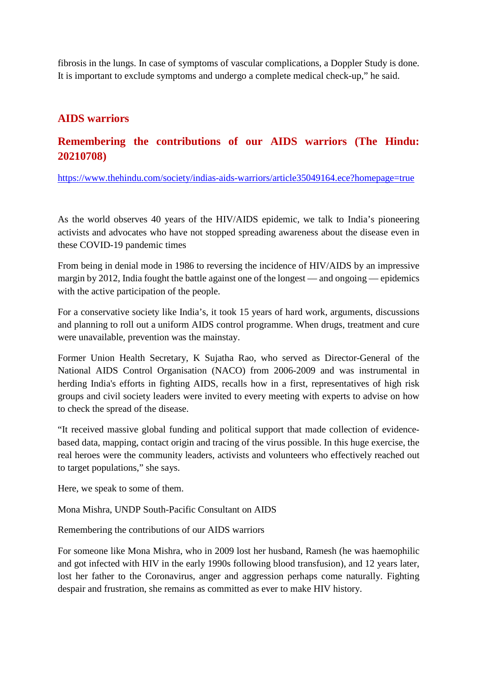fibrosis in the lungs. In case of symptoms of vascular complications, a Doppler Study is done. It is important to exclude symptoms and undergo a complete medical check-up," he said.

#### **AIDS warriors**

#### **Remembering the contributions of our AIDS warriors (The Hindu: 20210708)**

https://www.thehindu.com/society/indias-aids-warriors/article35049164.ece?homepage=true

As the world observes 40 years of the HIV/AIDS epidemic, we talk to India's pioneering activists and advocates who have not stopped spreading awareness about the disease even in these COVID-19 pandemic times

From being in denial mode in 1986 to reversing the incidence of HIV/AIDS by an impressive margin by 2012, India fought the battle against one of the longest — and ongoing — epidemics with the active participation of the people.

For a conservative society like India's, it took 15 years of hard work, arguments, discussions and planning to roll out a uniform AIDS control programme. When drugs, treatment and cure were unavailable, prevention was the mainstay.

Former Union Health Secretary, K Sujatha Rao, who served as Director-General of the National AIDS Control Organisation (NACO) from 2006-2009 and was instrumental in herding India's efforts in fighting AIDS, recalls how in a first, representatives of high risk groups and civil society leaders were invited to every meeting with experts to advise on how to check the spread of the disease.

"It received massive global funding and political support that made collection of evidencebased data, mapping, contact origin and tracing of the virus possible. In this huge exercise, the real heroes were the community leaders, activists and volunteers who effectively reached out to target populations," she says.

Here, we speak to some of them.

Mona Mishra, UNDP South-Pacific Consultant on AIDS

Remembering the contributions of our AIDS warriors

For someone like Mona Mishra, who in 2009 lost her husband, Ramesh (he was haemophilic and got infected with HIV in the early 1990s following blood transfusion), and 12 years later, lost her father to the Coronavirus, anger and aggression perhaps come naturally. Fighting despair and frustration, she remains as committed as ever to make HIV history.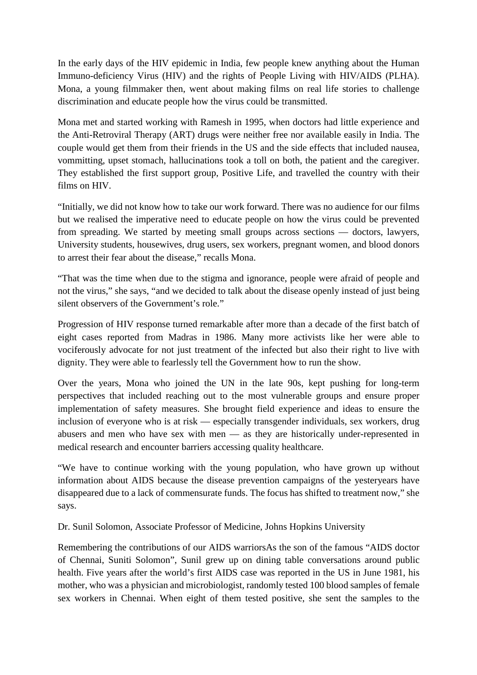In the early days of the HIV epidemic in India, few people knew anything about the Human Immuno-deficiency Virus (HIV) and the rights of People Living with HIV/AIDS (PLHA). Mona, a young filmmaker then, went about making films on real life stories to challenge discrimination and educate people how the virus could be transmitted.

Mona met and started working with Ramesh in 1995, when doctors had little experience and the Anti-Retroviral Therapy (ART) drugs were neither free nor available easily in India. The couple would get them from their friends in the US and the side effects that included nausea, vommitting, upset stomach, hallucinations took a toll on both, the patient and the caregiver. They established the first support group, Positive Life, and travelled the country with their films on HIV.

"Initially, we did not know how to take our work forward. There was no audience for our films but we realised the imperative need to educate people on how the virus could be prevented from spreading. We started by meeting small groups across sections — doctors, lawyers, University students, housewives, drug users, sex workers, pregnant women, and blood donors to arrest their fear about the disease," recalls Mona.

"That was the time when due to the stigma and ignorance, people were afraid of people and not the virus," she says, "and we decided to talk about the disease openly instead of just being silent observers of the Government's role."

Progression of HIV response turned remarkable after more than a decade of the first batch of eight cases reported from Madras in 1986. Many more activists like her were able to vociferously advocate for not just treatment of the infected but also their right to live with dignity. They were able to fearlessly tell the Government how to run the show.

Over the years, Mona who joined the UN in the late 90s, kept pushing for long-term perspectives that included reaching out to the most vulnerable groups and ensure proper implementation of safety measures. She brought field experience and ideas to ensure the inclusion of everyone who is at risk — especially transgender individuals, sex workers, drug abusers and men who have sex with men — as they are historically under-represented in medical research and encounter barriers accessing quality healthcare.

"We have to continue working with the young population, who have grown up without information about AIDS because the disease prevention campaigns of the yesteryears have disappeared due to a lack of commensurate funds. The focus has shifted to treatment now," she says.

Dr. Sunil Solomon, Associate Professor of Medicine, Johns Hopkins University

Remembering the contributions of our AIDS warriorsAs the son of the famous "AIDS doctor of Chennai, Suniti Solomon", Sunil grew up on dining table conversations around public health. Five years after the world's first AIDS case was reported in the US in June 1981, his mother, who was a physician and microbiologist, randomly tested 100 blood samples of female sex workers in Chennai. When eight of them tested positive, she sent the samples to the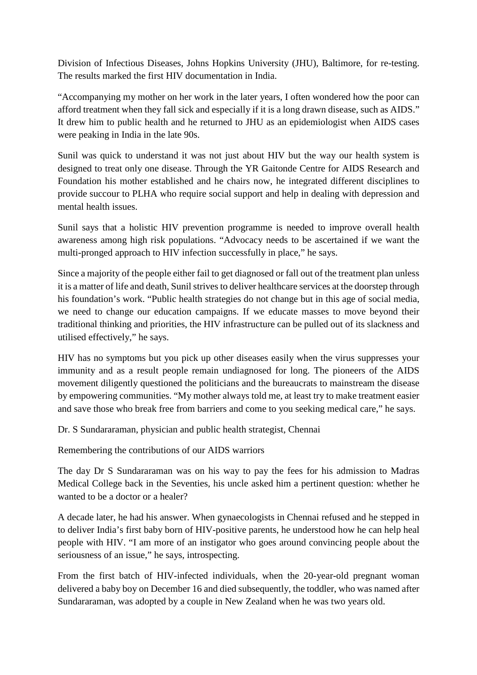Division of Infectious Diseases, Johns Hopkins University (JHU), Baltimore, for re-testing. The results marked the first HIV documentation in India.

"Accompanying my mother on her work in the later years, I often wondered how the poor can afford treatment when they fall sick and especially if it is a long drawn disease, such as AIDS." It drew him to public health and he returned to JHU as an epidemiologist when AIDS cases were peaking in India in the late 90s.

Sunil was quick to understand it was not just about HIV but the way our health system is designed to treat only one disease. Through the YR Gaitonde Centre for AIDS Research and Foundation his mother established and he chairs now, he integrated different disciplines to provide succour to PLHA who require social support and help in dealing with depression and mental health issues.

Sunil says that a holistic HIV prevention programme is needed to improve overall health awareness among high risk populations. "Advocacy needs to be ascertained if we want the multi-pronged approach to HIV infection successfully in place," he says.

Since a majority of the people either fail to get diagnosed or fall out of the treatment plan unless it is a matter of life and death, Sunil strives to deliver healthcare services at the doorstep through his foundation's work. "Public health strategies do not change but in this age of social media, we need to change our education campaigns. If we educate masses to move beyond their traditional thinking and priorities, the HIV infrastructure can be pulled out of its slackness and utilised effectively," he says.

HIV has no symptoms but you pick up other diseases easily when the virus suppresses your immunity and as a result people remain undiagnosed for long. The pioneers of the AIDS movement diligently questioned the politicians and the bureaucrats to mainstream the disease by empowering communities. "My mother always told me, at least try to make treatment easier and save those who break free from barriers and come to you seeking medical care," he says.

Dr. S Sundararaman, physician and public health strategist, Chennai

Remembering the contributions of our AIDS warriors

The day Dr S Sundararaman was on his way to pay the fees for his admission to Madras Medical College back in the Seventies, his uncle asked him a pertinent question: whether he wanted to be a doctor or a healer?

A decade later, he had his answer. When gynaecologists in Chennai refused and he stepped in to deliver India's first baby born of HIV-positive parents, he understood how he can help heal people with HIV. "I am more of an instigator who goes around convincing people about the seriousness of an issue," he says, introspecting.

From the first batch of HIV-infected individuals, when the 20-year-old pregnant woman delivered a baby boy on December 16 and died subsequently, the toddler, who was named after Sundararaman, was adopted by a couple in New Zealand when he was two years old.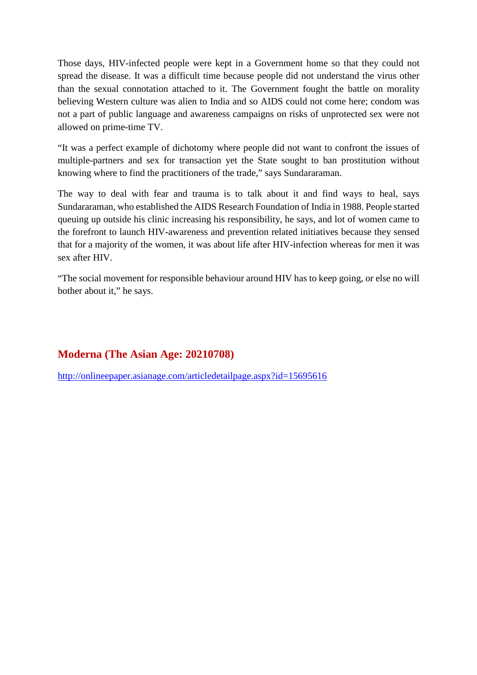Those days, HIV-infected people were kept in a Government home so that they could not spread the disease. It was a difficult time because people did not understand the virus other than the sexual connotation attached to it. The Government fought the battle on morality believing Western culture was alien to India and so AIDS could not come here; condom was not a part of public language and awareness campaigns on risks of unprotected sex were not allowed on prime-time TV.

"It was a perfect example of dichotomy where people did not want to confront the issues of multiple-partners and sex for transaction yet the State sought to ban prostitution without knowing where to find the practitioners of the trade," says Sundararaman.

The way to deal with fear and trauma is to talk about it and find ways to heal, says Sundararaman, who established the AIDS Research Foundation of India in 1988. People started queuing up outside his clinic increasing his responsibility, he says, and lot of women came to the forefront to launch HIV-awareness and prevention related initiatives because they sensed that for a majority of the women, it was about life after HIV-infection whereas for men it was sex after HIV.

"The social movement for responsible behaviour around HIV has to keep going, or else no will bother about it," he says.

#### **Moderna (The Asian Age: 20210708)**

http://onlineepaper.asianage.com/articledetailpage.aspx?id=15695616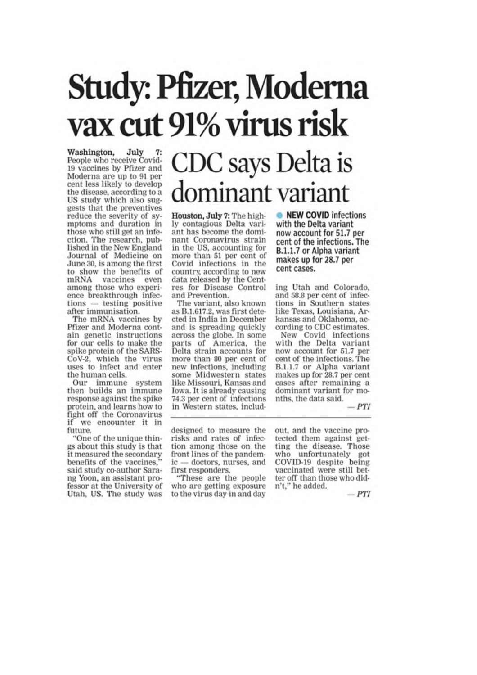## **Study: Pfizer, Moderna** vax cut 91% virus risk

Washington, July People who receive Covid-19 vaccines by Pfizer and Moderna are up to 91 per cent less likely to develop the disease, according to a US study which also suggests that the preventives reduce the severity of symptoms and duration in those who still get an infection. The research, published in the New England<br>Journal of Medicine on June 30, is among the first to show the benefits of mRNA vaccines even among those who experience breakthrough infec $tions$  - testing positive after immunisation.

The mRNA vaccines by Pfizer and Moderna contain genetic instructions for our cells to make the spike protein of the SARS-CoV-2, which the virus uses to infect and enter the human cells.

Our immune system<br>then builds an immune response against the spike protein, and learns how to fight off the Coronavirus if we encounter it in future.

"One of the unique things about this study is that it measured the secondary benefits of the vaccines, said study co-author Sarang Yoon, an assistant professor at the University of Utah, US. The study was

## CDC says Delta is ominant variant

Houston, July 7: The highly contagious Delta variant has become the dominant Coronavirus strain in the US, accounting for more than 51 per cent of Covid infections in the country, according to new data released by the Centres for Disease Control and Prevention.

The variant, also known as B.1.617.2, was first detected in India in December and is spreading quickly across the globe. In some parts of America, the Delta strain accounts for more than 80 per cent of new infections, including some Midwestern states like Missouri, Kansas and Iowa. It is already causing 74.3 per cent of infections in Western states, includ• NEW COVID infections with the Delta variant now account for 51.7 per cent of the infections. The B.1.1.7 or Alpha variant makes up for 28.7 per cent cases.

ing Utah and Colorado, and 58.8 per cent of infections in Southern states like Texas, Louisiana, Arkansas and Oklahoma, according to CDC estimates.

New Covid infections with the Delta variant now account for 51.7 per cent of the infections. The B.1.1.7 or Alpha variant makes up for 28.7 per cent cases after remaining a dominant variant for months, the data said.

 $-PTI$ 

designed to measure the risks and rates of infection among those on the front lines of the pandemic — doctors, nurses, and first responders.

These are the people who are getting exposure to the virus day in and day

out, and the vaccine protected them against getting the disease. Those who unfortunately got COVID-19 despite being vaccinated were still better off than those who didn't," he added.

 $-PTI$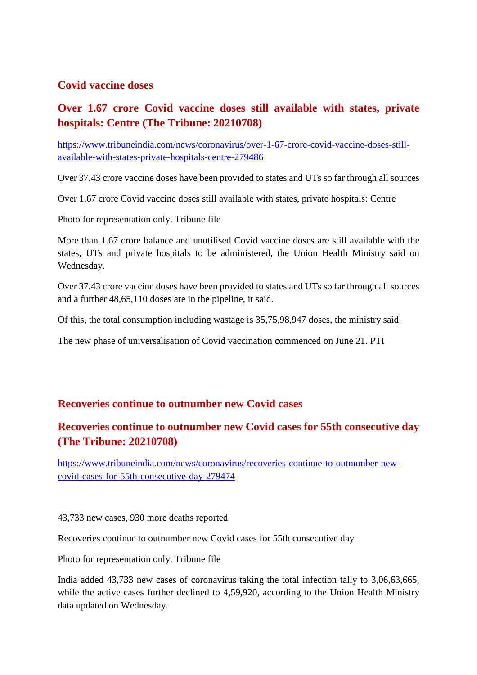#### **Covid vaccine doses**

#### **Over 1.67 crore Covid vaccine doses still available with states, private hospitals: Centre (The Tribune: 20210708)**

https://www.tribuneindia.com/news/coronavirus/over-1-67-crore-covid-vaccine-doses-stillavailable-with-states-private-hospitals-centre-279486

Over 37.43 crore vaccine doses have been provided to states and UTs so far through all sources

Over 1.67 crore Covid vaccine doses still available with states, private hospitals: Centre

Photo for representation only. Tribune file

More than 1.67 crore balance and unutilised Covid vaccine doses are still available with the states, UTs and private hospitals to be administered, the Union Health Ministry said on Wednesday.

Over 37.43 crore vaccine doses have been provided to states and UTs so far through all sources and a further 48,65,110 doses are in the pipeline, it said.

Of this, the total consumption including wastage is 35,75,98,947 doses, the ministry said.

The new phase of universalisation of Covid vaccination commenced on June 21. PTI

#### **Recoveries continue to outnumber new Covid cases**

#### **Recoveries continue to outnumber new Covid cases for 55th consecutive day (The Tribune: 20210708)**

https://www.tribuneindia.com/news/coronavirus/recoveries-continue-to-outnumber-newcovid-cases-for-55th-consecutive-day-279474

43,733 new cases, 930 more deaths reported

Recoveries continue to outnumber new Covid cases for 55th consecutive day

Photo for representation only. Tribune file

India added 43,733 new cases of coronavirus taking the total infection tally to 3,06,63,665, while the active cases further declined to 4,59,920, according to the Union Health Ministry data updated on Wednesday.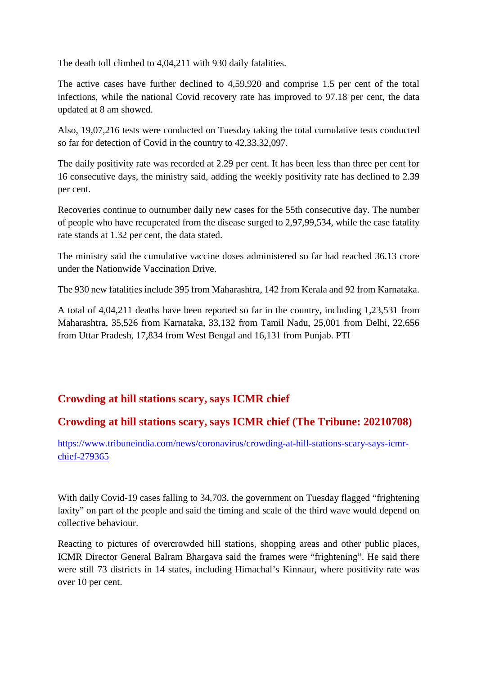The death toll climbed to 4,04,211 with 930 daily fatalities.

The active cases have further declined to 4,59,920 and comprise 1.5 per cent of the total infections, while the national Covid recovery rate has improved to 97.18 per cent, the data updated at 8 am showed.

Also, 19,07,216 tests were conducted on Tuesday taking the total cumulative tests conducted so far for detection of Covid in the country to 42,33,32,097.

The daily positivity rate was recorded at 2.29 per cent. It has been less than three per cent for 16 consecutive days, the ministry said, adding the weekly positivity rate has declined to 2.39 per cent.

Recoveries continue to outnumber daily new cases for the 55th consecutive day. The number of people who have recuperated from the disease surged to 2,97,99,534, while the case fatality rate stands at 1.32 per cent, the data stated.

The ministry said the cumulative vaccine doses administered so far had reached 36.13 crore under the Nationwide Vaccination Drive.

The 930 new fatalities include 395 from Maharashtra, 142 from Kerala and 92 from Karnataka.

A total of 4,04,211 deaths have been reported so far in the country, including 1,23,531 from Maharashtra, 35,526 from Karnataka, 33,132 from Tamil Nadu, 25,001 from Delhi, 22,656 from Uttar Pradesh, 17,834 from West Bengal and 16,131 from Punjab. PTI

#### **Crowding at hill stations scary, says ICMR chief**

#### **Crowding at hill stations scary, says ICMR chief (The Tribune: 20210708)**

https://www.tribuneindia.com/news/coronavirus/crowding-at-hill-stations-scary-says-icmrchief-279365

With daily Covid-19 cases falling to 34,703, the government on Tuesday flagged "frightening laxity" on part of the people and said the timing and scale of the third wave would depend on collective behaviour.

Reacting to pictures of overcrowded hill stations, shopping areas and other public places, ICMR Director General Balram Bhargava said the frames were "frightening". He said there were still 73 districts in 14 states, including Himachal's Kinnaur, where positivity rate was over 10 per cent.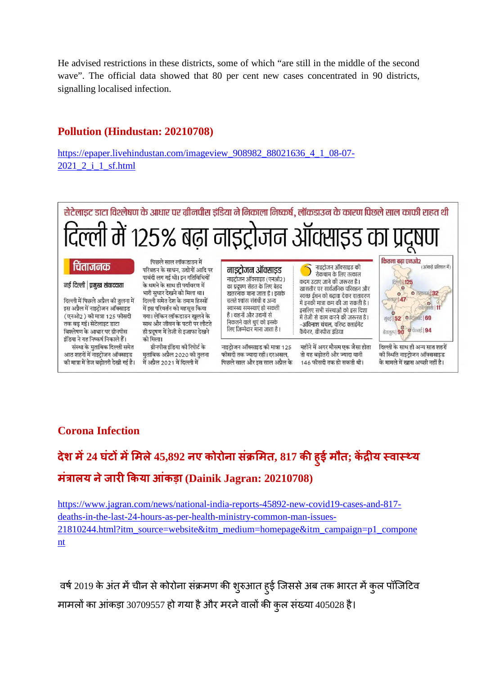He advised restrictions in these districts, some of which "are still in the middle of the second wave". The official data showed that 80 per cent new cases concentrated in 90 districts, signalling localised infection.

#### **Pollution (Hindustan: 20210708)**

https://epaper.livehindustan.com/imageview\_908982\_88021636\_4\_1\_08-07- 2021 2 i 1 sf.html

सेटेलाइट डाटा विश्लेषण के आधार पर ग्रीनपीस इंडिया ने निकाला निष्कर्ष. लॉकडाउन के कारण पिछले साल काफी राहत थी दिल्ली में १२५% बढ़ा नाइट्रोजन ऑक्साइड का प्रद्रा

#### चिंताजनक

#### नई दिल्ली | प्रमुख संवाददाता

दिल्ली में पिछले अप्रैल की तुलना में इस अप्रैल में नाइटोजन ऑक्साइड (एनओ२) की मात्रा 125 फीसदी तक बढ़ गई। सेटेलाइट डाटा विश्लेषण के आधार पर ग्रीनपीस इंडिया ने यह निष्कर्ष निकाले हैं।

संस्था के मुताबिक दिल्ली समेत आठ शहरों में नाइट्रोजन ऑक्साइड की मात्रा में तेज बढोतरी देखी गई है।

पिछले साल लॉकडाउन में परिवहन के साधन, उद्योगों आदि पर पाबंदी लग गई थी। इन गतिविधियों के थमने के साथ ही पर्यावरण में भारी सुधार देखने को मिला था। दिल्ली समेत देश के तमाम हिस्सों में इस परिवर्तन को महसस किया गया। लेकिन लॉकडाउन खलने के साथ और जीवन के पटरी पर लौटते ही प्रदषण में तेजी से इजाफा देखने को मिला।

ग्रीनपीस इंडिया की रिपोर्ट के मताबिक अप्रैल 2020 की तलना में अप्रैल 2021 में दिल्ली में

नाडटोजन ऑक्साडड नाइटोजन ऑक्साइड (एनओ२) का प्रदूषण सेहत के लिए बेहद खतरनाक माना जाता है। इसके चलते श्वांस संबंधी व अन्य स्वास्थ्य समस्याएं हो सकती हैं। वाहनों और उद्यमों से निकलने वाले धुएं को इसके लिए जिम्मेदार माना जाता है।

नाइट्रोजन ऑक्साइड की मात्रा 125 फीसदी तक ज्यादा रही। दरअसल. पिछले साल और इस साल अप्रैल के

नाइट्रोजन ऑक्साइड की रोकथाम के लिए तत्काल कदम उठाए जाने की जरूरत है। खासतौर पर सार्वजनिक परिवहन और स्वच्छ ईंधन को बढ़ावा देकर वातावरण में इनकी मात्रा कम की जा सकती है। इसलिए सभी संस्थाओं को इस दिशा में तेजी से काम करने की जरूरत है। -अविनाश चंचल, वरिष्ट क्लाईमेट कैंपेनर, ग्रीनपीस इंडिया

महीने में अगर मौसम एक जैसा होता तो यह बढोतरी और ज्यादा यानी 146 फीसदी तक हो सकती थी।



दिल्ली के साथ ही अन्य सात शहरों की स्थिति नाइट्रोजन ऑक्ससाइड के मामले में खास अच्छी नहीं है।

#### **Corona Infection**

#### **देश म24 घंटममले45,892 नए कोरोना सं मत, 817 कह ुई मौत; कय वाय मंालय नेजारकया आंकड़ा (Dainik Jagran: 20210708)**

https://www.jagran.com/news/national-india-reports-45892-new-covid19-cases-and-817 deaths-in-the-last-24-hours-as-per-health-ministry-common-man-issues-21810244.html?itm\_source=website&itm\_medium=homepage&itm\_campaign=p1\_compone nt

वर्ष 2019 के अंत में चीन से कोरोना संक्रमण की शुरुआत हुई जिससे अब तक भारत में कुल पॉजिटिव मामलों का आंकड़ा 30709557 हो गया है और मरने वालों की कुल संख्या 405028 है।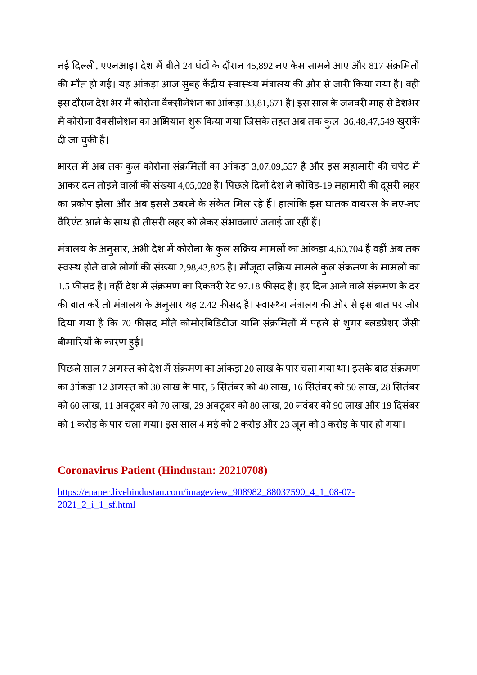नई दिल्ली, एएनआइ। देश में बीते 24 घंटों के दौरान 45,892 नए केस सामने आए और 817 संक्रमितों की मौत हो गई। यह आंकड़ा आज सुबह केंद्रीय स्वास्थ्य मंत्रालय की ओर से जारी किया गया है। वहीं इस दौरान देश भर में कोरोना वैक्सीनेशन का आंकड़ा 33,81,671 है। इस साल के जनवरी माह से देशभर में कोरोना वैक्सीनेशन का अभियान शुरू किया गया जिसके तहत अब तक कुल 36,48,47,549 खुराकें दी जा चुकी हैं।

भारत में अब तक कुल कोरोना संक्रमितों का आंकड़ा 3,07,09,557 है और इस महामारी की चपेट में आकर दम तोड़ने वालों की संख्या 4,05,028 है। पिछले दिनों देश ने कोविड-19 महामारी की दूसरी लहर का प्रकोप झेला और अब इससे उबरने के संकेत मिल रहे हैं। हालांकि इस घातक वायरस के नए-नए वैरिएंट आने के साथ ही तीसरी लहर को लेकर संभावनाएं जताई जा रहीं हैं।

मंत्रालय के अनुसार, अभी देश में कोरोना के कुल सक्रिय मामलों का आंकड़ा 4,60,704 है वहीं अब तक स्वस्थ होने वाले लोगों की संख्या 2,98,43,825 है। मौजूदा सक्रिय मामले कुल संक्रमण के मामलों का 1.5 फीसद है। वहीं देश में संक्रमण का रिकवरी रेट 97.18 फीसद है। हर दिन आने वाले संक्रमण के दर की बात करें तो मंत्रालय के अनुसार यह 2.42 फीसद है। स्वास्थ्य मंत्रालय की ओर से इस बात पर जोर दिया गया है कि 70 फीसद मौतें कोमोरबिडिटीज यानि संक्रमितों में पहले से शुगर ब्लडप्रेशर जैसी बीमारियों के कारण हुई।

पिछले साल 7 अगस्त को देश में संक्रमण का आंकड़ा 20 लाख के पार चला गया था। इसके बाद संक्रमण का आंकड़ा 12 अगत को 30 लाख के पार, 5 सतंबर को 40 लाख, 16 सतंबर को 50 लाख, 28 सतंबर को 60 लाख, 11 अटूबर को 70 लाख, 29 अटूबर को 80 लाख, 20 नवंबर को 90 लाख और 19 दसंबर को 1 करोड़ के पार चला गया। इस साल 4 मई को 2 करोड़ और 23 जून को 3 करोड़ के पार हो गया।

#### **Coronavirus Patient (Hindustan: 20210708)**

https://epaper.livehindustan.com/imageview\_908982\_88037590\_4\_1\_08-07- 2021\_2\_i\_1\_sf.html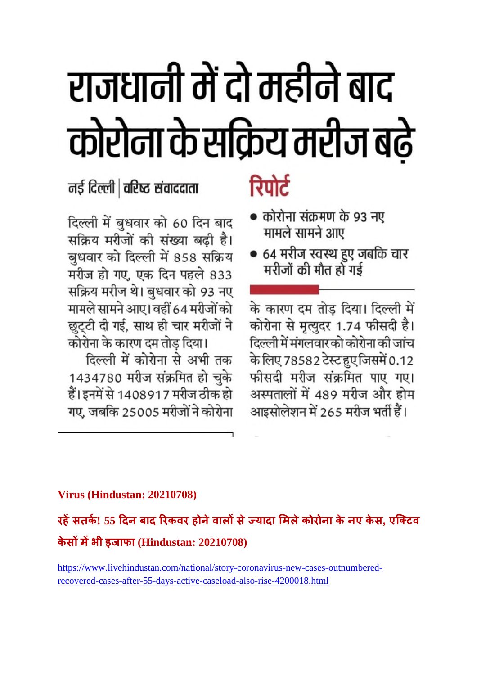# राजधानी में दो महीने बाद कोरोना के सक्रिय मरीज बढ़े

नई दिल्ली | वरिष्ट संवाददाता

दिल्ली में बुधवार को 60 दिन बाद सक्रिय मरीजों की संख्या बढ़ी है। बुधवार को दिल्ली में 858 सक्रिय मरीज हो गए, एक दिन पहले 833 सक्रिय मरीज थे। बुधवार को 93 नए मामले सामने आए। वहीं 64 मरीजों को छुट्टी दी गई, साथ ही चार मरीजों ने कोरोना के कारण दम तोड़ दिया।

दिल्ली में कोरोना से अभी तक 1434780 मरीज संक्रमित हो चुके हैं। इनमें से 1408917 मरीज ठीक हो गए, जबकि 25005 मरीजों ने कोरोना

## रिपोर्ट

- कोरोना संक्रमण के 93 नए मामले सामने आए
- 64 मरीज स्वस्थ हुए जबकि चार मरीजों की मौत हो गई

के कारण दम तोड़ दिया। दिल्ली में कोरोना से मृत्युदर 1.74 फीसदी है। दिल्ली में मंगलवार को कोरोना की जांच के लिए 78582 टेस्ट हुए जिसमें 0.12 फीसदी मरीज संक्रमित पाए गए। अस्पतालों में 489 मरीज और होम आइसोलेशन में 265 मरीज भर्ती हैं।

#### **Virus (Hindustan: 20210708)**

**रहसतक! 55 दन बाद रकवर होनेवालसेयादा मलेकोरोना के नए केस, एिटव केसमभी इजाफा (Hindustan: 20210708)**

https://www.livehindustan.com/national/story-coronavirus-new-cases-outnumberedrecovered-cases-after-55-days-active-caseload-also-rise-4200018.html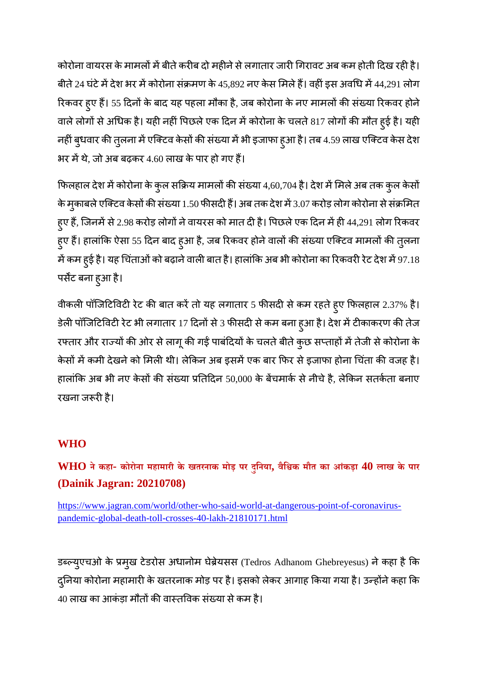कोरोना वायरस के मामलों में बीते करीब दो महीने से लगातार जारी गिरावट अब कम होती दिख रही है। बीते 24 घंटे में देश भर में कोरोना संक्रमण के 45,892 नए केस मिले हैं। वहीं इस अवधि में 44,291 लोग रिकवर हुए हैं। 55 दिनों के बाद यह पहला मौका है, जब कोरोना के नए मामलों की संख्या रिकवर होने वाले लोगों से अधिक है। यही नहीं पिछले एक दिन में कोरोना के चलते 817 लोगों की मौत हुई है। यही नहीं बुधवार की तुलना में एक्टिव केसों की संख्या में भी इजाफा हुआ है। तब 4.59 लाख एक्टिव केस देश भर में थे, जो अब बढ़कर 4.60 लाख के पार हो गए हैं।

फिलहाल देश में कोरोना के कुल सक्रिय मामलों की संख्या 4,60,704 है। देश में मिले अब तक कुल केसों के मुकाबले एक्टिव केसों की संख्या 1.50 फीसदी हैं। अब तक देश में 3.07 करोड़ लोग कोरोना से संक्रमित हुए हैं, जिनमें से 2.98 करोड़ लोगों ने वायरस को मात दी है। पिछले एक दिन में ही 44,291 लोग रिकवर हुए हैं। हालांकि ऐसा 55 दिन बाद हुआ है, जब रिकवर होने वालों की संख्या एक्टिव मामलों की तुलना में कम हुई है। यह चिंताओं को बढ़ाने वाली बात है। हालांकि अब भी कोरोना का रिकवरी रेट देश में 97.18 पसट बना हुआ है।

वीकली पॉजिटिविटी रेट की बात करें तो यह लगातार 5 फीसदी से कम रहते हुए फिलहाल 2.37% है। डेली पॉजिटिविटी रेट भी लगातार 17 दिनों से 3 फीसदी से कम बना हुआ है। देश में टीकाकरण की तेज रफ्तार और राज्यों की ओर से लागू की गई पाबंदियों के चलते बीते कुछ सप्ताहों में तेजी से कोरोना के केसों में कमी देखने को मिली थी। लेकिन अब इसमें एक बार फिर से इजाफा होना चिंता की वजह है। हालांकि अब भी नए केसों की संख्या प्रतिदिन 50,000 के बेंचमार्क से नीचे है, लेकिन सतर्कता बनाए रखना जरूरी है।

#### **WHO**

WHO ने कहा- कोरोना महामारी के खतरनाक मोड़ पर दुनिया, वैश्विक मौत का आंकड़ा 40 लाख के पार **(Dainik Jagran: 20210708)**

https://www.jagran.com/world/other-who-said-world-at-dangerous-point-of-coronaviruspandemic-global-death-toll-crosses-40-lakh-21810171.html

डब्ल्युएचओ के प्रमुख टेडरोस अधानोम घेब्रेयसस (Tedros Adhanom Ghebreyesus) ने कहा है कि दुनिया कोरोना महामारी के खतरनाक मोड़ पर है। इसको लेकर आगाह किया गया है। उन्होंने कहा कि 40 लाख का आकंड़ा मौतों की वास्तविक संख्या से कम है।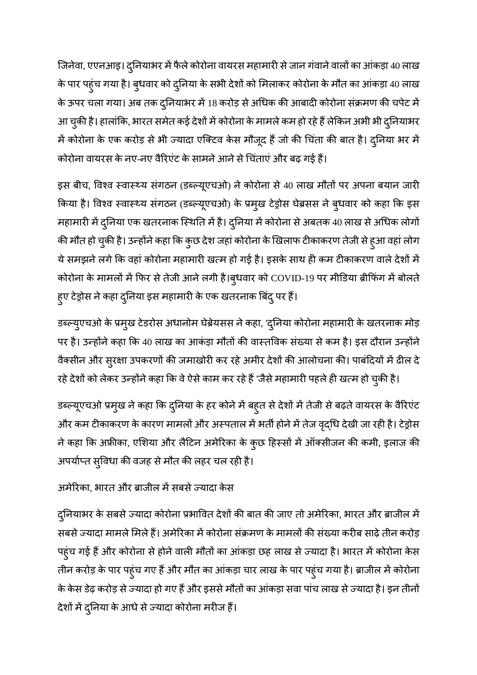जिनेवा, एएनआइ। दुनियाभर में फैले कोरोना वायरस महामारी से जान गंवाने वालों का आंकड़ा 40 लाख के पार पहुंच गया है। बुधवार को दुनिया के सभी देशों को मिलाकर कोरोना के मौत का आंकड़ा 40 लाख के ऊपर चला गया। अब तक दुनियाभर में 18 करोड़ से अधिक की आबादी कोरोना संक्रमण की चपेट में आ चुकी है। हालांकि, भारत समेत कई देशों में कोरोना के मामले कम हो रहे हैं लेकिन अभी भी दुनियाभर में कोरोना के एक करोड़ से भी ज्यादा एक्टिव केस मौजूद हैं जो की चिंता की बात है। दुनिया भर में कोरोना वायरस के नए-नए वैरिएंट के सामने आने से चिंताएं और बढ़ गई हैं।

इस बीच, विश्व स्वास्थ्य संगठन (डब्ल्यूएचओ) ने कोरोना से 40 लाख मौतों पर अपना बयान जारी किया है। विश्व स्वास्थ्य संगठन (डब्ल्यूएचओ) के प्रमुख टेड्रोस घेब्रसस ने बुधवार को कहा कि इस महामारी में दुनिया एक खतरनाक स्थिति में है। दुनिया में कोरोना से अबतक 40 लाख से अधिक लोगों की मौत हो चुकी है। उन्होंने कहा कि कुछ देश जहां कोरोना के खिलाफ टीकाकरण तेजी से हुआ वहां लोग ये समझने लगे कि वहां कोरोना महामारी खत्म हो गई है। इसके साथ ही कम टीकाकरण वाले देशों में कोरोना के मामलों में फिर से तेजी आने लगी है।बुधवार को COVID-19 पर मीडिया ब्रीफिंग में बोलते हुए टेड्रोस ने कहा दुनिया इस महामारी के एक खतरनाक बिंदु पर हैं।

डब्ल्युएचओ के प्रमुख टेडरोस अधानोम घेब्रेयसस ने कहा, 'दुनिया कोरोना महामारी के खतरनाक मोड़ पर है। उन्होंने कहा कि 40 लाख का आकंड़ा मौतों की वास्तविक संख्या से कम है। इस दौरान उन्होंने वैक्सीन और सुरक्षा उपकरणों की जमाखोरी कर रहे अमीर देशों की आलोचना की। पाबंदियों में ढील दे रहे देशों को लेकर उन्होंने कहा कि वे ऐसे काम कर रहे हैं 'जैसे महामारी पहले ही खत्म हो चुकी है।

डब्ल्यूएचओ प्रमुख ने कहा कि दुनिया के हर कोने में बह्त से देशों में तेजी से बढ़ते वायरस के वैरिएंट ओर कम टीकाकरण के कारण मामलों और अस्पताल में भर्ती होने में तेज वृद्धि देखी जा रही है। टेड्रोस ने कहा कि अफ्रीका, एशिया और लैटिन अमेरिका के कुछ हिस्सों में ऑक्सीजन की कमी, इलाज की अपर्याप्त सुविधा की वजह से मौत की लहर चल रही है।

अमेरिका. भारत और ब्राजील में सबसे ज्यादा केस

दुनियाभर के सबसे ज्यादा कोरोना प्रभावित देशों की बात की जाए तो अमेरिका, भारत और ब्राजील में सबसे ज्यादा मामले मिले हैं। अमेरिका में कोरोना संक्रमण के मामलों की संख्या करीब साढ़े तीन करोड़ पहुंच गई हैं और कोरोना से होने वाली मौतों का आंकड़ा छह लाख से ज्यादा है। भारत में कोरोना केस तीन करोड़ के पार पहुंच गए हैं और मौत का आंकड़ा चार लाख के पार पहुंच गया है। ब्राजील में कोरोना के केस डेढ़ करोड़ से ज्यादा हो गए हैं और इससे मौतों का आंकड़ा सवा पांच लाख से ज्यादा है। इन तीनों देशों में दुनिया के आधे से ज्यादा कोरोना मरीज हैं।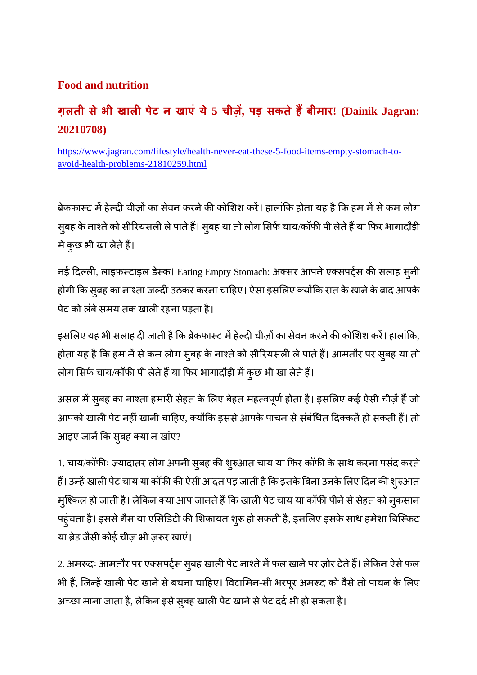#### **Food and nutrition**

#### **ग़लती सेभी खाल पेट न खाएं ये5 चीज़ , पड़ सकतेहबीमार! (Dainik Jagran: 20210708)**

https://www.jagran.com/lifestyle/health-never-eat-these-5-food-items-empty-stomach-toavoid-health-problems-21810259.html

ब्रेकफार्स्ट में हेल्दी चीज़ों का सेवन करने की कोशिश करें। हालांकि होता यह है कि हम में से कम लोग सुबह के नाश्ते को सीरियसली ले पाते हैं। सुबह या तो लोग सिर्फ चाय/कॉफी पी लेते हैं या फिर भागादौड़ी में कुछ भी खा लेते हैं।

नई दिल्ली, लाइफस्टाइल डेस्क। Eating Empty Stomach: अक्सर आपने एक्सपर्ट्स की सलाह सुनी होगी कि सुबह का नाश्ता जल्दी उठकर करना चाहिए। ऐसा इसलिए क्योंकि रात के खाने के बाद आपके पेट को लंबे समय तक खाली रहना पड़ता है।

इसलिए यह भी सलाह दी जाती है कि ब्रेकफास्ट में हेल्दी चीज़ों का सेवन करने की कोशिश करें। हालांकि, होता यह है कि हम में से कम लोग सुबह के नाश्ते को सीरियसली ले पाते हैं। आमतौर पर सुबह या तो लोग सिर्फ चाय/कॉफी पी लेते हैं या फिर भागादौड़ी में कुछ भी खा लेते हैं।

असल में सुबह का नाश्ता हमारी सेहत के लिए बेहत महत्वपूर्ण होता है। इसलिए कई ऐसी चीज़ें हैं जो आपको खाली पेट नहीं खानी चाहिए, क्योंकि इससे आपके पाचन से संबंधित दिक्कतें हो सकती हैं। तो आइए जानें कि सुबह क्या न खांए?

1. चाय/कॉफीः ज़्यादातर लोग अपनी सुबह की शुरुआत चाय या फिर कॉफी के साथ करना पसंद करते हैं। उन्हें खाली पेट चाय या कॉफी की ऐसी आदत पड़ जाती है कि इसके बिना उनके लिए दिन की शुरुआत मुश्किल हो जाती है। लेकिन क्या आप जानते हैं कि खाली पेट चाय या कॉफी पीने से सेहत को नुकसान पहुंचता है। इससे गैस या एसिडिटी की शिकायत शुरू हो सकती है, इसलिए इसके साथ हमेशा बिस्किट या ब्रेड जैसी कोई चीज़ भी ज़रूर खाएं।

2. अमरूदः आमतौर पर एक्सपर्ट्स सुबह खाली पेट नाश्ते में फल खाने पर ज़ोर देते हैं। लेकिन ऐसे फल भी हैं, जिन्हें खाली पेट खाने से बचना चाहिए। विटामिन-सी भरपूर अमरूद को वैसे तो पाचन के लिए अच्छा माना जाता है, लेकिन इसे सुबह खाली पेट खाने से पेट दर्द भी हो सकता है।